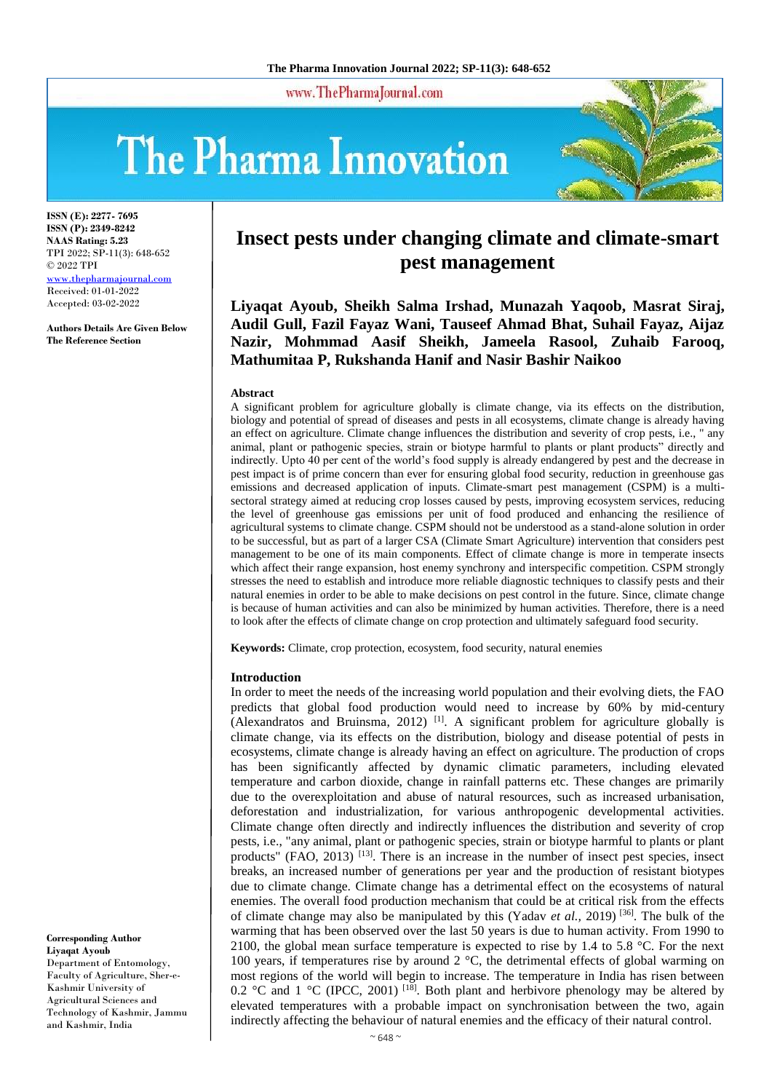www.ThePharmaJournal.com

# The Pharma Innovation



**ISSN (E): 2277- 7695 ISSN (P): 2349-8242 NAAS Rating: 5.23** TPI 2022; SP-11(3): 648-652 © 2022 TPI [www.thepharmajournal.com](file:///C:/Users/gupta/AppData/Roaming/Microsoft/Word/www.thepharmajournal.com) Received: 01-01-2022 Accepted: 03-02-2022

**Authors Details Are Given Below The Reference Section**

# **Insect pests under changing climate and climate-smart pest management**

**Liyaqat Ayoub, Sheikh Salma Irshad, Munazah Yaqoob, Masrat Siraj, Audil Gull, Fazil Fayaz Wani, Tauseef Ahmad Bhat, Suhail Fayaz, Aijaz Nazir, Mohmmad Aasif Sheikh, Jameela Rasool, Zuhaib Farooq, Mathumitaa P, Rukshanda Hanif and Nasir Bashir Naikoo**

#### **Abstract**

A significant problem for agriculture globally is climate change, via its effects on the distribution, biology and potential of spread of diseases and pests in all ecosystems, climate change is already having an effect on agriculture. Climate change influences the distribution and severity of crop pests, i.e., " any animal, plant or pathogenic species, strain or biotype harmful to plants or plant products" directly and indirectly. Upto 40 per cent of the world's food supply is already endangered by pest and the decrease in pest impact is of prime concern than ever for ensuring global food security, reduction in greenhouse gas emissions and decreased application of inputs. Climate-smart pest management (CSPM) is a multisectoral strategy aimed at reducing crop losses caused by pests, improving ecosystem services, reducing the level of greenhouse gas emissions per unit of food produced and enhancing the resilience of agricultural systems to climate change. CSPM should not be understood as a stand-alone solution in order to be successful, but as part of a larger CSA (Climate Smart Agriculture) intervention that considers pest management to be one of its main components. Effect of climate change is more in temperate insects which affect their range expansion, host enemy synchrony and interspecific competition. CSPM strongly stresses the need to establish and introduce more reliable diagnostic techniques to classify pests and their natural enemies in order to be able to make decisions on pest control in the future. Since, climate change is because of human activities and can also be minimized by human activities. Therefore, there is a need to look after the effects of climate change on crop protection and ultimately safeguard food security.

**Keywords:** Climate, crop protection, ecosystem, food security, natural enemies

#### **Introduction**

In order to meet the needs of the increasing world population and their evolving diets, the FAO predicts that global food production would need to increase by 60% by mid-century (Alexandratos and Bruinsma, 2012)  $[1]$ . A significant problem for agriculture globally is climate change, via its effects on the distribution, biology and disease potential of pests in ecosystems, climate change is already having an effect on agriculture. The production of crops has been significantly affected by dynamic climatic parameters, including elevated temperature and carbon dioxide, change in rainfall patterns etc. These changes are primarily due to the overexploitation and abuse of natural resources, such as increased urbanisation, deforestation and industrialization, for various anthropogenic developmental activities. Climate change often directly and indirectly influences the distribution and severity of crop pests, i.e., "any animal, plant or pathogenic species, strain or biotype harmful to plants or plant products" (FAO, 2013)  $^{[13]}$ . There is an increase in the number of insect pest species, insect breaks, an increased number of generations per year and the production of resistant biotypes due to climate change. Climate change has a detrimental effect on the ecosystems of natural enemies. The overall food production mechanism that could be at critical risk from the effects of climate change may also be manipulated by this (Yadav *et al.,* 2019) [36]. The bulk of the warming that has been observed over the last 50 years is due to human activity. From 1990 to 2100, the global mean surface temperature is expected to rise by 1.4 to 5.8 °C. For the next 100 years, if temperatures rise by around  $2^{\circ}$ C, the detrimental effects of global warming on most regions of the world will begin to increase. The temperature in India has risen between 0.2 °C and 1 °C (IPCC, 2001) <sup>[18]</sup>. Both plant and herbivore phenology may be altered by elevated temperatures with a probable impact on synchronisation between the two, again indirectly affecting the behaviour of natural enemies and the efficacy of their natural control.

**Corresponding Author Liyaqat Ayoub** Department of Entomology, Faculty of Agriculture, Sher-e-Kashmir University of Agricultural Sciences and Technology of Kashmir, Jammu and Kashmir, India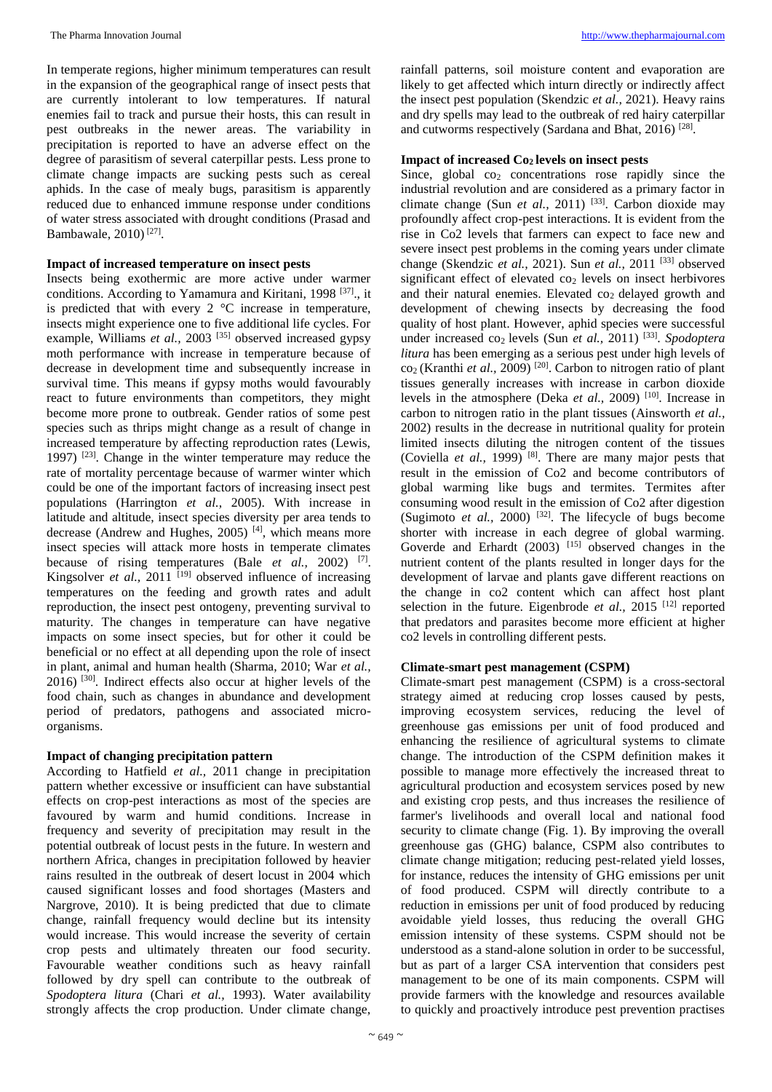The Pharma Innovation Journal [http://www.thepharmajournal.com](http://www.thepharmajournal.com/)

In temperate regions, higher minimum temperatures can result in the expansion of the geographical range of insect pests that are currently intolerant to low temperatures. If natural enemies fail to track and pursue their hosts, this can result in pest outbreaks in the newer areas. The variability in precipitation is reported to have an adverse effect on the degree of parasitism of several caterpillar pests. Less prone to climate change impacts are sucking pests such as cereal aphids. In the case of mealy bugs, parasitism is apparently reduced due to enhanced immune response under conditions of water stress associated with drought conditions (Prasad and Bambawale, 2010) [27] .

# **Impact of increased temperature on insect pests**

Insects being exothermic are more active under warmer conditions. According to Yamamura and Kiritani, 1998<sup>[37]</sup>., it is predicted that with every 2 °C increase in temperature, insects might experience one to five additional life cycles. For example, Williams *et al.*, 2003<sup>[35]</sup> observed increased gypsy moth performance with increase in temperature because of decrease in development time and subsequently increase in survival time. This means if gypsy moths would favourably react to future environments than competitors, they might become more prone to outbreak. Gender ratios of some pest species such as thrips might change as a result of change in increased temperature by affecting reproduction rates (Lewis, 1997) [23]. Change in the winter temperature may reduce the rate of mortality percentage because of warmer winter which could be one of the important factors of increasing insect pest populations (Harrington *et al.,* 2005). With increase in latitude and altitude, insect species diversity per area tends to decrease (Andrew and Hughes, 2005)<sup>[4]</sup>, which means more insect species will attack more hosts in temperate climates because of rising temperatures (Bale *et al.*, 2002) <sup>[7]</sup>. Kingsolver *et al.*, 2011<sup>[19]</sup> observed influence of increasing temperatures on the feeding and growth rates and adult reproduction, the insect pest ontogeny, preventing survival to maturity. The changes in temperature can have negative impacts on some insect species, but for other it could be beneficial or no effect at all depending upon the role of insect in plant, animal and human health (Sharma, 2010; War *et al.,*  $2016$ )  $^{[30]}$ . Indirect effects also occur at higher levels of the food chain, such as changes in abundance and development period of predators, pathogens and associated microorganisms.

# **Impact of changing precipitation pattern**

According to Hatfield *et al.,* 2011 change in precipitation pattern whether excessive or insufficient can have substantial effects on crop-pest interactions as most of the species are favoured by warm and humid conditions. Increase in frequency and severity of precipitation may result in the potential outbreak of locust pests in the future. In western and northern Africa, changes in precipitation followed by heavier rains resulted in the outbreak of desert locust in 2004 which caused significant losses and food shortages (Masters and Nargrove, 2010). It is being predicted that due to climate change, rainfall frequency would decline but its intensity would increase. This would increase the severity of certain crop pests and ultimately threaten our food security. Favourable weather conditions such as heavy rainfall followed by dry spell can contribute to the outbreak of *Spodoptera litura* (Chari *et al.,* 1993). Water availability strongly affects the crop production. Under climate change,

rainfall patterns, soil moisture content and evaporation are likely to get affected which inturn directly or indirectly affect the insect pest population (Skendzic *et al.,* 2021). Heavy rains and dry spells may lead to the outbreak of red hairy caterpillar and cutworms respectively (Sardana and Bhat, 2016)<sup>[28]</sup>.

# **Impact of increased Co2 levels on insect pests**

Since, global  $\cos$  concentrations rose rapidly since the industrial revolution and are considered as a primary factor in climate change (Sun *et al.*, 2011) <sup>[33]</sup>. Carbon dioxide may profoundly affect crop-pest interactions. It is evident from the rise in Co2 levels that farmers can expect to face new and severe insect pest problems in the coming years under climate change (Skendzic *et al.,* 2021). Sun *et al.,* 2011 [33] observed significant effect of elevated  $\cos$  levels on insect herbivores and their natural enemies. Elevated  $\cos$  delayed growth and development of chewing insects by decreasing the food quality of host plant. However, aphid species were successful under increased co<sub>2</sub> levels (Sun et al., 2011)<sup>[33]</sup>. Spodoptera *litura* has been emerging as a serious pest under high levels of co2 (Kranthi *et al.,* 2009) [20]. Carbon to nitrogen ratio of plant tissues generally increases with increase in carbon dioxide levels in the atmosphere (Deka *et al.*, 2009)<sup>[10]</sup>. Increase in carbon to nitrogen ratio in the plant tissues (Ainsworth *et al.,*  2002) results in the decrease in nutritional quality for protein limited insects diluting the nitrogen content of the tissues (Coviella *et al.*, 1999)<sup>[8]</sup>. There are many major pests that result in the emission of Co2 and become contributors of global warming like bugs and termites. Termites after consuming wood result in the emission of Co2 after digestion (Sugimoto *et al.*, 2000)  $^{[32]}$ . The lifecycle of bugs become shorter with increase in each degree of global warming. Goverde and Erhardt (2003) [15] observed changes in the nutrient content of the plants resulted in longer days for the development of larvae and plants gave different reactions on the change in co2 content which can affect host plant selection in the future. Eigenbrode *et al.*, 2015<sup>[12]</sup> reported that predators and parasites become more efficient at higher co2 levels in controlling different pests.

# **Climate-smart pest management (CSPM)**

Climate-smart pest management (CSPM) is a cross-sectoral strategy aimed at reducing crop losses caused by pests, improving ecosystem services, reducing the level of greenhouse gas emissions per unit of food produced and enhancing the resilience of agricultural systems to climate change. The introduction of the CSPM definition makes it possible to manage more effectively the increased threat to agricultural production and ecosystem services posed by new and existing crop pests, and thus increases the resilience of farmer's livelihoods and overall local and national food security to climate change (Fig. 1). By improving the overall greenhouse gas (GHG) balance, CSPM also contributes to climate change mitigation; reducing pest-related yield losses, for instance, reduces the intensity of GHG emissions per unit of food produced. CSPM will directly contribute to a reduction in emissions per unit of food produced by reducing avoidable yield losses, thus reducing the overall GHG emission intensity of these systems. CSPM should not be understood as a stand-alone solution in order to be successful, but as part of a larger CSA intervention that considers pest management to be one of its main components. CSPM will provide farmers with the knowledge and resources available to quickly and proactively introduce pest prevention practises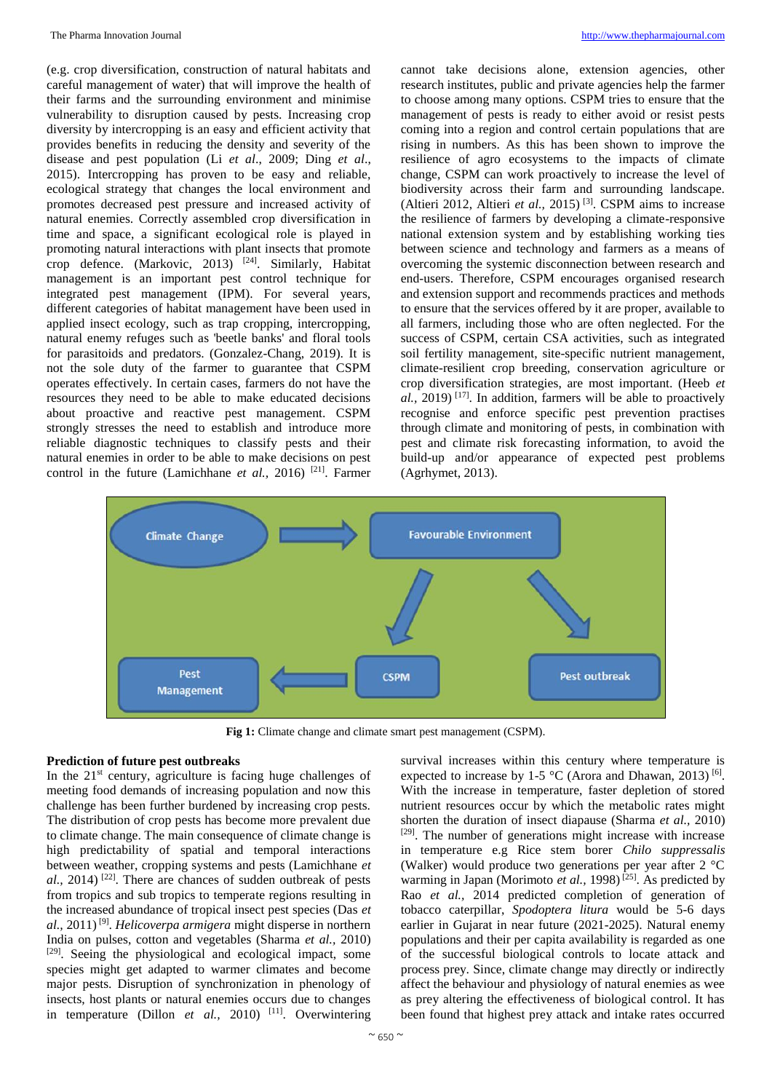(e.g. crop diversification, construction of natural habitats and careful management of water) that will improve the health of their farms and the surrounding environment and minimise vulnerability to disruption caused by pests. Increasing crop diversity by intercropping is an easy and efficient activity that provides benefits in reducing the density and severity of the disease and pest population (Li *et al*., 2009; Ding *et al*., 2015). Intercropping has proven to be easy and reliable, ecological strategy that changes the local environment and promotes decreased pest pressure and increased activity of natural enemies. Correctly assembled crop diversification in time and space, a significant ecological role is played in promoting natural interactions with plant insects that promote crop defence. (Markovic, 2013)<sup>[24]</sup>. Similarly, Habitat management is an important pest control technique for integrated pest management (IPM). For several years, different categories of habitat management have been used in applied insect ecology, such as trap cropping, intercropping, natural enemy refuges such as 'beetle banks' and floral tools for parasitoids and predators. (Gonzalez-Chang, 2019). It is not the sole duty of the farmer to guarantee that CSPM operates effectively. In certain cases, farmers do not have the resources they need to be able to make educated decisions about proactive and reactive pest management. CSPM strongly stresses the need to establish and introduce more reliable diagnostic techniques to classify pests and their natural enemies in order to be able to make decisions on pest control in the future (Lamichhane *et al.*, 2016)<sup>[21]</sup>. Farmer cannot take decisions alone, extension agencies, other research institutes, public and private agencies help the farmer to choose among many options. CSPM tries to ensure that the management of pests is ready to either avoid or resist pests coming into a region and control certain populations that are rising in numbers. As this has been shown to improve the resilience of agro ecosystems to the impacts of climate change, CSPM can work proactively to increase the level of biodiversity across their farm and surrounding landscape. (Altieri 2012, Altieri *et al.*, 2015)<sup>[3]</sup>. CSPM aims to increase the resilience of farmers by developing a climate-responsive national extension system and by establishing working ties between science and technology and farmers as a means of overcoming the systemic disconnection between research and end-users. Therefore, CSPM encourages organised research and extension support and recommends practices and methods to ensure that the services offered by it are proper, available to all farmers, including those who are often neglected. For the success of CSPM, certain CSA activities, such as integrated soil fertility management, site-specific nutrient management, climate-resilient crop breeding, conservation agriculture or crop diversification strategies, are most important. (Heeb *et al.,* 2019) [17]. In addition, farmers will be able to proactively recognise and enforce specific pest prevention practises through climate and monitoring of pests, in combination with pest and climate risk forecasting information, to avoid the build-up and/or appearance of expected pest problems (Agrhymet, 2013).



**Fig 1:** Climate change and climate smart pest management (CSPM).

### **Prediction of future pest outbreaks**

In the  $21<sup>st</sup>$  century, agriculture is facing huge challenges of meeting food demands of increasing population and now this challenge has been further burdened by increasing crop pests. The distribution of crop pests has become more prevalent due to climate change. The main consequence of climate change is high predictability of spatial and temporal interactions between weather, cropping systems and pests (Lamichhane *et*   $al$ , 2014)<sup>[22]</sup>. There are chances of sudden outbreak of pests from tropics and sub tropics to temperate regions resulting in the increased abundance of tropical insect pest species (Das *et al.,* 2011) [9] . *Helicoverpa armigera* might disperse in northern India on pulses, cotton and vegetables (Sharma *et al.,* 2010) [29]. Seeing the physiological and ecological impact, some species might get adapted to warmer climates and become major pests. Disruption of synchronization in phenology of insects, host plants or natural enemies occurs due to changes in temperature (Dillon *et al.,* 2010) [11]. Overwintering

survival increases within this century where temperature is expected to increase by 1-5 °C (Arora and Dhawan, 2013)<sup>[6]</sup>. With the increase in temperature, faster depletion of stored nutrient resources occur by which the metabolic rates might shorten the duration of insect diapause (Sharma *et al.,* 2010) [29]. The number of generations might increase with increase in temperature e.g Rice stem borer *Chilo suppressalis*  (Walker) would produce two generations per year after 2 °C warming in Japan (Morimoto *et al.*, 1998)<sup>[25]</sup>. As predicted by Rao *et al.,* 2014 predicted completion of generation of tobacco caterpillar, *Spodoptera litura* would be 5-6 days earlier in Gujarat in near future (2021-2025). Natural enemy populations and their per capita availability is regarded as one of the successful biological controls to locate attack and process prey. Since, climate change may directly or indirectly affect the behaviour and physiology of natural enemies as wee as prey altering the effectiveness of biological control. It has been found that highest prey attack and intake rates occurred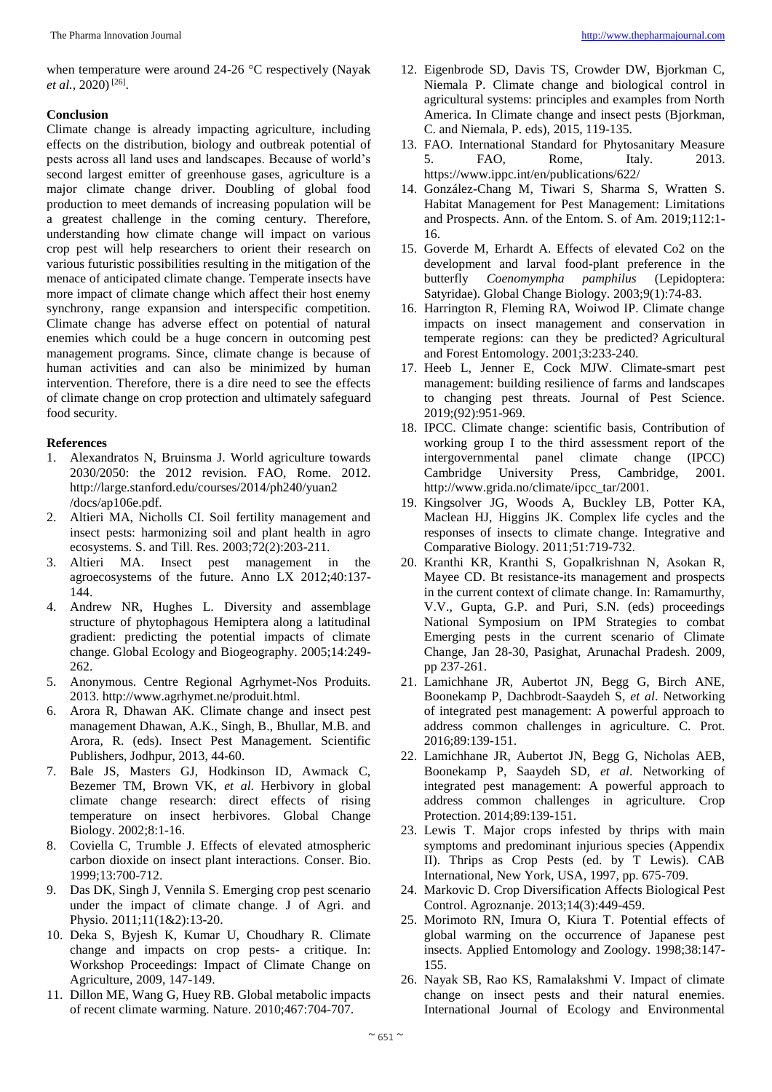when temperature were around 24-26 °C respectively (Nayak et al., 2020)<sup>[26]</sup>.

# **Conclusion**

Climate change is already impacting agriculture, including effects on the distribution, biology and outbreak potential of pests across all land uses and landscapes. Because of world's second largest emitter of greenhouse gases, agriculture is a major climate change driver. Doubling of global food production to meet demands of increasing population will be a greatest challenge in the coming century. Therefore, understanding how climate change will impact on various crop pest will help researchers to orient their research on various futuristic possibilities resulting in the mitigation of the menace of anticipated climate change. Temperate insects have more impact of climate change which affect their host enemy synchrony, range expansion and interspecific competition. Climate change has adverse effect on potential of natural enemies which could be a huge concern in outcoming pest management programs. Since, climate change is because of human activities and can also be minimized by human intervention. Therefore, there is a dire need to see the effects of climate change on crop protection and ultimately safeguard food security.

# **References**

- 1. Alexandratos N, Bruinsma J. World agriculture towards 2030/2050: the 2012 revision. FAO, Rome. 2012. http://large.stanford.edu/courses/2014/ph240/yuan2 /docs/ap106e.pdf.
- 2. Altieri MA, Nicholls CI. Soil fertility management and insect pests: harmonizing soil and plant health in agro ecosystems. S. and Till. Res. 2003;72(2):203-211.
- 3. Altieri MA. Insect pest management in the agroecosystems of the future. Anno LX 2012;40:137- 144.
- 4. Andrew NR, Hughes L. Diversity and assemblage structure of phytophagous Hemiptera along a latitudinal gradient: predicting the potential impacts of climate change. Global Ecology and Biogeography. 2005;14:249- 262.
- 5. Anonymous. Centre Regional Agrhymet-Nos Produits. 2013. http://www.agrhymet.ne/produit.html.
- 6. Arora R, Dhawan AK. Climate change and insect pest management Dhawan, A.K., Singh, B., Bhullar, M.B. and Arora, R. (eds). Insect Pest Management. Scientific Publishers, Jodhpur, 2013, 44-60.
- 7. Bale JS, Masters GJ, Hodkinson ID, Awmack C, Bezemer TM, Brown VK, *et al*. Herbivory in global climate change research: direct effects of rising temperature on insect herbivores. Global Change Biology. 2002;8:1-16.
- 8. Coviella C, Trumble J. Effects of elevated atmospheric carbon dioxide on insect plant interactions. Conser. Bio. 1999;13:700-712.
- 9. Das DK, Singh J, Vennila S. Emerging crop pest scenario under the impact of climate change. J of Agri. and Physio. 2011;11(1&2):13-20.
- 10. Deka S, Byjesh K, Kumar U, Choudhary R. Climate change and impacts on crop pests- a critique. In: Workshop Proceedings: Impact of Climate Change on Agriculture, 2009, 147-149.
- 11. Dillon ME, Wang G, Huey RB. Global metabolic impacts of recent climate warming. Nature. 2010;467:704-707.
- 12. Eigenbrode SD, Davis TS, Crowder DW, Bjorkman C, Niemala P. Climate change and biological control in agricultural systems: principles and examples from North America. In Climate change and insect pests (Bjorkman, C. and Niemala, P. eds), 2015, 119-135.
- 13. FAO. International Standard for Phytosanitary Measure 5. FAO, Rome, Italy. 2013. https://www.ippc.int/en/publications/622/
- 14. González-Chang M, Tiwari S, Sharma S, Wratten S. Habitat Management for Pest Management: Limitations and Prospects. Ann. of the Entom. S. of Am. 2019;112:1- 16.
- 15. Goverde M, Erhardt A. Effects of elevated Co2 on the development and larval food-plant preference in the butterfly *Coenomympha pamphilus* (Lepidoptera: Satyridae). Global Change Biology. 2003;9(1):74-83.
- 16. Harrington R, Fleming RA, Woiwod IP. Climate change impacts on insect management and conservation in temperate regions: can they be predicted? Agricultural and Forest Entomology. 2001;3:233-240.
- 17. Heeb L, Jenner E, Cock MJW. Climate-smart pest management: building resilience of farms and landscapes to changing pest threats. Journal of Pest Science. 2019;(92):951-969.
- 18. IPCC. Climate change: scientific basis, Contribution of working group I to the third assessment report of the intergovernmental panel climate change (IPCC) Cambridge University Press, Cambridge, 2001. http://www.grida.no/climate/ipcc\_tar/2001.
- 19. Kingsolver JG, Woods A, Buckley LB, Potter KA, Maclean HJ, Higgins JK. Complex life cycles and the responses of insects to climate change. Integrative and Comparative Biology. 2011;51:719-732.
- 20. Kranthi KR, Kranthi S, Gopalkrishnan N, Asokan R, Mayee CD. Bt resistance-its management and prospects in the current context of climate change. In: Ramamurthy, V.V., Gupta, G.P. and Puri, S.N. (eds) proceedings National Symposium on IPM Strategies to combat Emerging pests in the current scenario of Climate Change, Jan 28-30, Pasighat, Arunachal Pradesh. 2009, pp 237-261.
- 21. Lamichhane JR, Aubertot JN, Begg G, Birch ANE, Boonekamp P, Dachbrodt-Saaydeh S, *et al*. Networking of integrated pest management: A powerful approach to address common challenges in agriculture. C. Prot. 2016;89:139-151.
- 22. Lamichhane JR, Aubertot JN, Begg G, Nicholas AEB, Boonekamp P, Saaydeh SD, *et al*. Networking of integrated pest management: A powerful approach to address common challenges in agriculture. Crop Protection. 2014;89:139-151.
- 23. Lewis T. Major crops infested by thrips with main symptoms and predominant injurious species (Appendix II). Thrips as Crop Pests (ed. by T Lewis). CAB International, New York, USA, 1997, pp. 675-709.
- 24. Markovic D. Crop Diversification Affects Biological Pest Control. Agroznanje. 2013;14(3):449-459.
- 25. Morimoto RN, Imura O, Kiura T. Potential effects of global warming on the occurrence of Japanese pest insects. Applied Entomology and Zoology. 1998;38:147- 155.
- 26. Nayak SB, Rao KS, Ramalakshmi V. Impact of climate change on insect pests and their natural enemies. International Journal of Ecology and Environmental